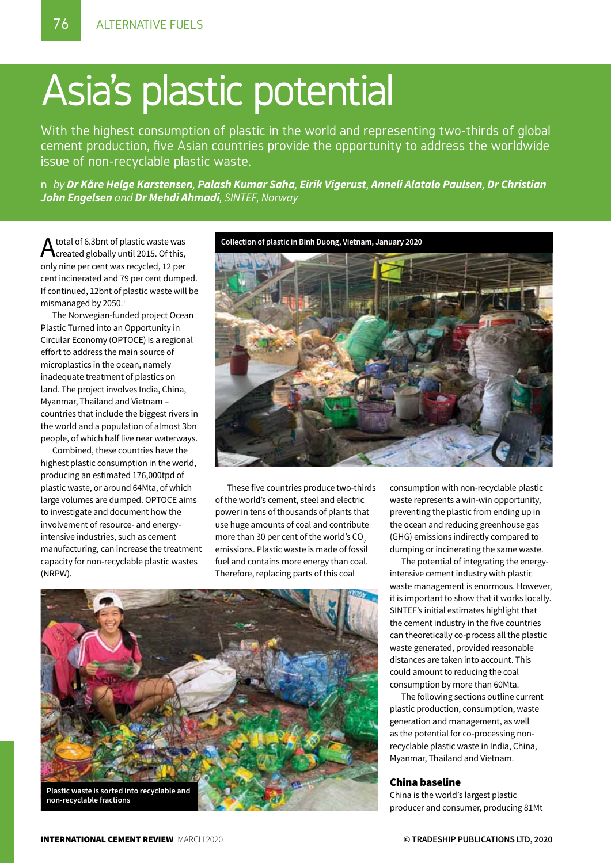## Asia's plastic potential

With the highest consumption of plastic in the world and representing two-thirds of global cement production, five Asian countries provide the opportunity to address the worldwide issue of non-recyclable plastic waste.

n *by Dr Kåre Helge Karstensen, Palash Kumar Saha, Eirik Vigerust, Anneli Alatalo Paulsen, Dr Christian John Engelsen and Dr Mehdi Ahmadi, SINTEF, Norway*

A total of 6.3bnt of plastic waste was<br>Acreated globally until 2015. Of this, only nine per cent was recycled, 12 per cent incinerated and 79 per cent dumped. If continued, 12bnt of plastic waste will be mismanaged by 2050.<sup>1</sup>

The Norwegian-funded project Ocean Plastic Turned into an Opportunity in Circular Economy (OPTOCE) is a regional effort to address the main source of microplastics in the ocean, namely inadequate treatment of plastics on land. The project involves India, China, Myanmar, Thailand and Vietnam – countries that include the biggest rivers in the world and a population of almost 3bn people, of which half live near waterways.

Combined, these countries have the highest plastic consumption in the world, producing an estimated 176,000tpd of plastic waste, or around 64Mta, of which large volumes are dumped. OPTOCE aims to investigate and document how the involvement of resource- and energyintensive industries, such as cement manufacturing, can increase the treatment capacity for non-recyclable plastic wastes (NRPW).

**Collection of plastic in Binh Duong, Vietnam, January 2020**



These five countries produce two-thirds of the world's cement, steel and electric power in tens of thousands of plants that use huge amounts of coal and contribute more than 30 per cent of the world's  $CO<sub>2</sub>$ emissions. Plastic waste is made of fossil fuel and contains more energy than coal. Therefore, replacing parts of this coal



consumption with non-recyclable plastic waste represents a win-win opportunity, preventing the plastic from ending up in the ocean and reducing greenhouse gas (GHG) emissions indirectly compared to dumping or incinerating the same waste.

The potential of integrating the energyintensive cement industry with plastic waste management is enormous. However, it is important to show that it works locally. SINTEF's initial estimates highlight that the cement industry in the five countries can theoretically co-process all the plastic waste generated, provided reasonable distances are taken into account. This could amount to reducing the coal consumption by more than 60Mta.

The following sections outline current plastic production, consumption, waste generation and management, as well as the potential for co-processing nonrecyclable plastic waste in India, China, Myanmar, Thailand and Vietnam.

#### China baseline

China is the world's largest plastic producer and consumer, producing 81Mt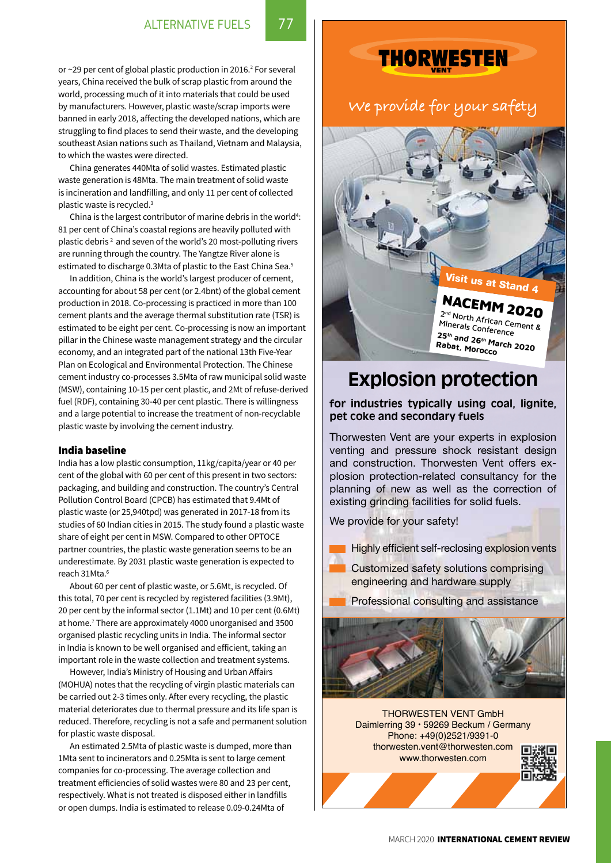or  $\sim$ 29 per cent of global plastic production in 2016. $^2$  For several years, China received the bulk of scrap plastic from around the world, processing much of it into materials that could be used by manufacturers. However, plastic waste/scrap imports were banned in early 2018, affecting the developed nations, which are struggling to find places to send their waste, and the developing southeast Asian nations such as Thailand, Vietnam and Malaysia, to which the wastes were directed.

China generates 440Mta of solid wastes. Estimated plastic waste generation is 48Mta. The main treatment of solid waste is incineration and landfilling, and only 11 per cent of collected plastic waste is recycled.3

China is the largest contributor of marine debris in the world<sup>4</sup>: 81 per cent of China's coastal regions are heavily polluted with plastic debris 2 and seven of the world's 20 most-polluting rivers are running through the country. The Yangtze River alone is estimated to discharge 0.3Mta of plastic to the East China Sea.<sup>5</sup>

In addition, China is the world's largest producer of cement, accounting for about 58 per cent (or 2.4bnt) of the global cement production in 2018. Co-processing is practiced in more than 100 cement plants and the average thermal substitution rate (TSR) is estimated to be eight per cent. Co-processing is now an important pillar in the Chinese waste management strategy and the circular economy, and an integrated part of the national 13th Five-Year Plan on Ecological and Environmental Protection. The Chinese cement industry co-processes 3.5Mta of raw municipal solid waste (MSW), containing 10-15 per cent plastic, and 2Mt of refuse-derived fuel (RDF), containing 30-40 per cent plastic. There is willingness and a large potential to increase the treatment of non-recyclable plastic waste by involving the cement industry.

#### India baseline

India has a low plastic consumption, 11kg/capita/year or 40 per cent of the global with 60 per cent of this present in two sectors: packaging, and building and construction. The country's Central Pollution Control Board (CPCB) has estimated that 9.4Mt of plastic waste (or 25,940tpd) was generated in 2017-18 from its studies of 60 Indian cities in 2015. The study found a plastic waste share of eight per cent in MSW. Compared to other OPTOCE partner countries, the plastic waste generation seems to be an underestimate. By 2031 plastic waste generation is expected to reach 31Mta<sup>6</sup>

About 60 per cent of plastic waste, or 5.6Mt, is recycled. Of this total, 70 per cent is recycled by registered facilities (3.9Mt), 20 per cent by the informal sector (1.1Mt) and 10 per cent (0.6Mt) at home.7 There are approximately 4000 unorganised and 3500 organised plastic recycling units in India. The informal sector in India is known to be well organised and efficient, taking an important role in the waste collection and treatment systems.

However, India's Ministry of Housing and Urban Affairs (MOHUA) notes that the recycling of virgin plastic materials can be carried out 2-3 times only. After every recycling, the plastic material deteriorates due to thermal pressure and its life span is reduced. Therefore, recycling is not a safe and permanent solution for plastic waste disposal.

An estimated 2.5Mta of plastic waste is dumped, more than 1Mta sent to incinerators and 0.25Mta is sent to large cement companies for co-processing. The average collection and treatment efficiencies of solid wastes were 80 and 23 per cent, respectively. What is not treated is disposed either in landfills or open dumps. India is estimated to release 0.09-0.24Mta of

## **THORWESTEN**

### **We provide for your safety**

## Visit us at Stand 4

## NACEMM 2020

<sup>2</sup>nd North African Cement & Minerals Conference **<sup>25</sup>th and 26th March 2020 Rabat, Morocco**

## **Explosion protection**

**for industries typically using coal, lignite, pet coke and secondary fuels**

Thorwesten Vent are your experts in explosion venting and pressure shock resistant design and construction. Thorwesten Vent offers explosion protection-related consultancy for the planning of new as well as the correction of existing grinding facilities for solid fuels.

We provide for your safety!

Highly efficient self-reclosing explosion vents

 Customized safety solutions comprising engineering and hardware supply

Professional consulting and assistance



THORWESTEN VENT GmbH Daimlerring 39 • 59269 Beckum / Germany Phone: +49(0)2521/9391-0 thorwesten.vent@thorwesten.com www.thorwesten.com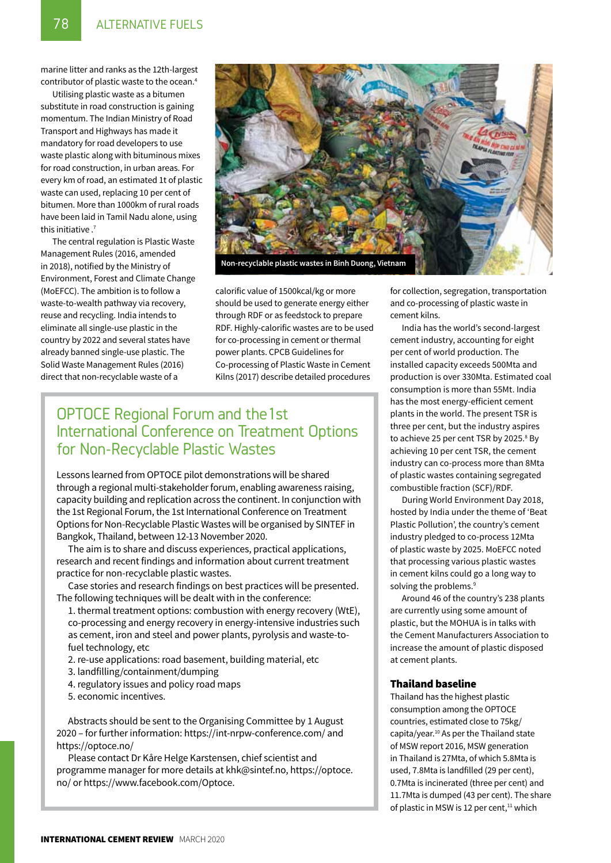marine litter and ranks as the 12th-largest contributor of plastic waste to the ocean.4

Utilising plastic waste as a bitumen substitute in road construction is gaining momentum. The Indian Ministry of Road Transport and Highways has made it mandatory for road developers to use waste plastic along with bituminous mixes for road construction, in urban areas. For every km of road, an estimated 1t of plastic waste can used, replacing 10 per cent of bitumen. More than 1000km of rural roads have been laid in Tamil Nadu alone, using this initiative .<sup>7</sup>

The central regulation is Plastic Waste Management Rules (2016, amended in 2018), notified by the Ministry of Environment, Forest and Climate Change (MoEFCC). The ambition is to follow a waste-to-wealth pathway via recovery, reuse and recycling. India intends to eliminate all single-use plastic in the country by 2022 and several states have already banned single-use plastic. The Solid Waste Management Rules (2016) direct that non-recyclable waste of a



calorific value of 1500kcal/kg or more should be used to generate energy either through RDF or as feedstock to prepare RDF. Highly-calorific wastes are to be used for co-processing in cement or thermal power plants. CPCB Guidelines for Co-processing of Plastic Waste in Cement Kilns (2017) describe detailed procedures

#### OPTOCE Regional Forum and the1st International Conference on Treatment Options for Non-Recyclable Plastic Wastes

Lessons learned from OPTOCE pilot demonstrations will be shared through a regional multi-stakeholder forum, enabling awareness raising, capacity building and replication across the continent. In conjunction with the 1st Regional Forum, the 1st International Conference on Treatment Options for Non-Recyclable Plastic Wastes will be organised by SINTEF in Bangkok, Thailand, between 12-13 November 2020.

The aim is to share and discuss experiences, practical applications, research and recent findings and information about current treatment practice for non-recyclable plastic wastes.

Case stories and research findings on best practices will be presented. The following techniques will be dealt with in the conference:

1. thermal treatment options: combustion with energy recovery (WtE), co-processing and energy recovery in energy-intensive industries such as cement, iron and steel and power plants, pyrolysis and waste-tofuel technology, etc

2. re-use applications: road basement, building material, etc

- 3. landfilling/containment/dumping
- 4. regulatory issues and policy road maps
- 5. economic incentives.

Abstracts should be sent to the Organising Committee by 1 August 2020 – for further information: https://int-nrpw-conference.com/ and https://optoce.no/

Please contact Dr Kåre Helge Karstensen, chief scientist and programme manager for more details at khk@sintef.no, https://optoce. no/ or https://www.facebook.com/Optoce.

for collection, segregation, transportation and co-processing of plastic waste in cement kilns.

India has the world's second-largest cement industry, accounting for eight per cent of world production. The installed capacity exceeds 500Mta and production is over 330Mta. Estimated coal consumption is more than 55Mt. India has the most energy-efficient cement plants in the world. The present TSR is three per cent, but the industry aspires to achieve 25 per cent TSR by 2025.<sup>8</sup> By achieving 10 per cent TSR, the cement industry can co-process more than 8Mta of plastic wastes containing segregated combustible fraction (SCF)/RDF.

During World Environment Day 2018, hosted by India under the theme of 'Beat Plastic Pollution', the country's cement industry pledged to co-process 12Mta of plastic waste by 2025. MoEFCC noted that processing various plastic wastes in cement kilns could go a long way to solving the problems.<sup>9</sup>

Around 46 of the country's 238 plants are currently using some amount of plastic, but the MOHUA is in talks with the Cement Manufacturers Association to increase the amount of plastic disposed at cement plants.

#### Thailand baseline

Thailand has the highest plastic consumption among the OPTOCE countries, estimated close to 75kg/ capita/year.10 As per the Thailand state of MSW report 2016, MSW generation in Thailand is 27Mta, of which 5.8Mta is used, 7.8Mta is landfilled (29 per cent), 0.7Mta is incinerated (three per cent) and 11.7Mta is dumped (43 per cent). The share of plastic in MSW is 12 per cent, $11$  which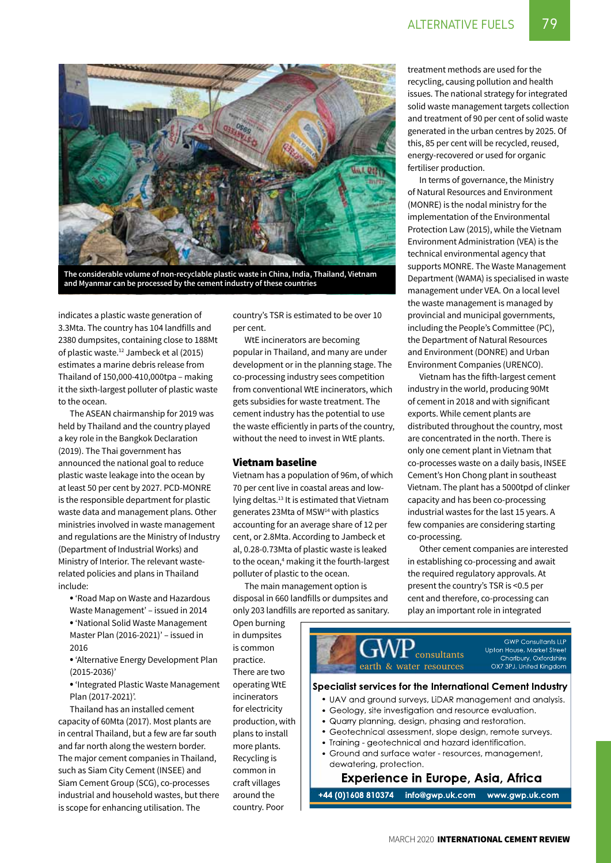

**The considerable volume of non-recyclable plastic waste in China, India, Thailand, Vietnam and Myanmar can be processed by the cement industry of these countries**

indicates a plastic waste generation of 3.3Mta. The country has 104 landfills and 2380 dumpsites, containing close to 188Mt of plastic waste.12 Jambeck et al (2015) estimates a marine debris release from Thailand of 150,000-410,000tpa – making it the sixth-largest polluter of plastic waste to the ocean.

The ASEAN chairmanship for 2019 was held by Thailand and the country played a key role in the Bangkok Declaration (2019). The Thai government has announced the national goal to reduce plastic waste leakage into the ocean by at least 50 per cent by 2027. PCD-MONRE is the responsible department for plastic waste data and management plans. Other ministries involved in waste management and regulations are the Ministry of Industry (Department of Industrial Works) and Ministry of Interior. The relevant wasterelated policies and plans in Thailand include:

• 'Road Map on Waste and Hazardous Waste Management' – issued in 2014

• 'National Solid Waste Management Master Plan (2016-2021)' – issued in 2016

• 'Alternative Energy Development Plan (2015-2036)'

• 'Integrated Plastic Waste Management Plan (2017-2021)'.

Thailand has an installed cement capacity of 60Mta (2017). Most plants are in central Thailand, but a few are far south and far north along the western border. The major cement companies in Thailand, such as Siam City Cement (INSEE) and Siam Cement Group (SCG), co-processes industrial and household wastes, but there is scope for enhancing utilisation. The

country's TSR is estimated to be over 10 per cent.

WtE incinerators are becoming popular in Thailand, and many are under development or in the planning stage. The co-processing industry sees competition from conventional WtE incinerators, which gets subsidies for waste treatment. The cement industry has the potential to use the waste efficiently in parts of the country, without the need to invest in WtE plants.

#### Vietnam baseline

Vietnam has a population of 96m, of which 70 per cent live in coastal areas and lowlying deltas.13 It is estimated that Vietnam generates 23Mta of MSW14 with plastics accounting for an average share of 12 per cent, or 2.8Mta. According to Jambeck et al, 0.28-0.73Mta of plastic waste is leaked to the ocean,<sup>4</sup> making it the fourth-largest polluter of plastic to the ocean.

The main management option is disposal in 660 landfills or dumpsites and only 203 landfills are reported as sanitary.

Open burning in dumpsites is common practice. There are two operating WtE incinerators for electricity production, with plans to install more plants. Recycling is common in craft villages around the country. Poor

treatment methods are used for the recycling, causing pollution and health issues. The national strategy for integrated solid waste management targets collection and treatment of 90 per cent of solid waste generated in the urban centres by 2025. Of this, 85 per cent will be recycled, reused, energy-recovered or used for organic fertiliser production.

In terms of governance, the Ministry of Natural Resources and Environment (MONRE) is the nodal ministry for the implementation of the Environmental Protection Law (2015), while the Vietnam Environment Administration (VEA) is the technical environmental agency that supports MONRE. The Waste Management Department (WAMA) is specialised in waste management under VEA. On a local level the waste management is managed by provincial and municipal governments, including the People's Committee (PC), the Department of Natural Resources and Environment (DONRE) and Urban Environment Companies (URENCO).

Vietnam has the fifth-largest cement industry in the world, producing 90Mt of cement in 2018 and with significant exports. While cement plants are distributed throughout the country, most are concentrated in the north. There is only one cement plant in Vietnam that co-processes waste on a daily basis, INSEE Cement's Hon Chong plant in southeast Vietnam. The plant has a 5000tpd of clinker capacity and has been co-processing industrial wastes for the last 15 years. A few companies are considering starting co-processing.

Other cement companies are interested in establishing co-processing and await the required regulatory approvals. At present the country's TSR is <0.5 per cent and therefore, co-processing can play an important role in integrated



#### Specialist services for the International Cement Industry

- UAV and ground surveys, LiDAR management and analysis.
- Geology, site investigation and resource evaluation.
- Quarry planning, design, phasing and restoration.
- · Geotechnical assessment, slope design, remote surveys.
- Training geotechnical and hazard identification.
- Ground and surface water resources, management, dewatering, protection.

#### **Experience in Europe, Asia, Africa**

info@gwp.uk.com +44 (0)1608 810374 www.gwp.uk.com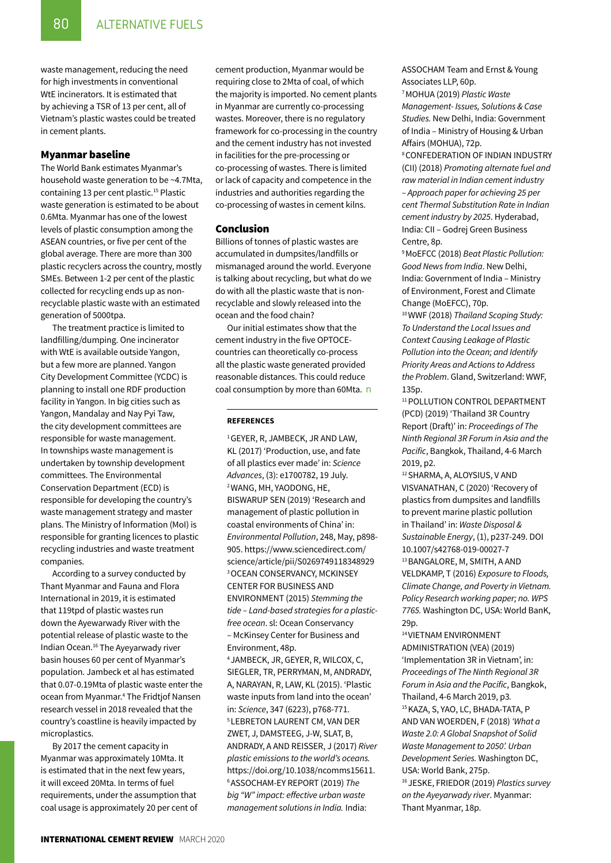waste management, reducing the need for high investments in conventional WtE incinerators. It is estimated that by achieving a TSR of 13 per cent, all of Vietnam's plastic wastes could be treated in cement plants.

#### Myanmar baseline

The World Bank estimates Myanmar's household waste generation to be ~4.7Mta, containing 13 per cent plastic.<sup>15</sup> Plastic waste generation is estimated to be about 0.6Mta. Myanmar has one of the lowest levels of plastic consumption among the ASEAN countries, or five per cent of the global average. There are more than 300 plastic recyclers across the country, mostly SMEs. Between 1-2 per cent of the plastic collected for recycling ends up as nonrecyclable plastic waste with an estimated generation of 5000tpa.

The treatment practice is limited to landfilling/dumping. One incinerator with WtE is available outside Yangon, but a few more are planned. Yangon City Development Committee (YCDC) is planning to install one RDF production facility in Yangon. In big cities such as Yangon, Mandalay and Nay Pyi Taw, the city development committees are responsible for waste management. In townships waste management is undertaken by township development committees. The Environmental Conservation Department (ECD) is responsible for developing the country's waste management strategy and master plans. The Ministry of Information (MoI) is responsible for granting licences to plastic recycling industries and waste treatment companies.

According to a survey conducted by Thant Myanmar and Fauna and Flora International in 2019, it is estimated that 119tpd of plastic wastes run down the Ayewarwady River with the potential release of plastic waste to the Indian Ocean.16 The Ayeyarwady river basin houses 60 per cent of Myanmar's population. Jambeck et al has estimated that 0.07-0.19Mta of plastic waste enter the ocean from Myanmar.4 The Fridtjof Nansen research vessel in 2018 revealed that the country's coastline is heavily impacted by microplastics.

By 2017 the cement capacity in Myanmar was approximately 10Mta. It is estimated that in the next few years, it will exceed 20Mta. In terms of fuel requirements, under the assumption that coal usage is approximately 20 per cent of cement production, Myanmar would be requiring close to 2Mta of coal, of which the majority is imported. No cement plants in Myanmar are currently co-processing wastes. Moreover, there is no regulatory framework for co-processing in the country and the cement industry has not invested in facilities for the pre-processing or co-processing of wastes. There is limited or lack of capacity and competence in the industries and authorities regarding the co-processing of wastes in cement kilns.

#### Conclusion

Billions of tonnes of plastic wastes are accumulated in dumpsites/landfills or mismanaged around the world. Everyone is talking about recycling, but what do we do with all the plastic waste that is nonrecyclable and slowly released into the ocean and the food chain?

Our initial estimates show that the cement industry in the five OPTOCEcountries can theoretically co-process all the plastic waste generated provided reasonable distances. This could reduce coal consumption by more than 60Mta. n

#### **References**

1 Geyer, R, Jambeck, JR and Law, KL (2017) 'Production, use, and fate of all plastics ever made' in: *Science Advances*, (3): e1700782, 19 July. 2 Wang, MH, Yaodong, He, Biswarup Sen (2019) 'Research and management of plastic pollution in coastal environments of China' in: *Environmental Pollution*, 248, May, p898- 905. https://www.sciencedirect.com/ science/article/pii/S0269749118348929 3 Ocean Conservancy, McKinsey Center for Business and ENVIRONMENT (2015) Stemming the *tide – Land-based strategies for a plasticfree ocean*. sl: Ocean Conservancy – McKinsey Center for Business and Environment, 48p.

4 Jambeck, JR, Geyer, R, Wilcox, C, Siegler, TR, Perryman, M, Andrady, A, Narayan, R, Law, KL (2015). 'Plastic waste inputs from land into the ocean' in: *Science*, 347 (6223), p768-771. 5 Lebreton Laurent CM, van der Zwet, j, Damsteeg, j-w, Slat, B, Andrady, a and Reisser, J (2017) *River plastic emissions to the world's oceans.* https://doi.org/10.1038/ncomms15611. 6 Assocham-EY Report (2019) *The big "W" impact: effective urban waste management solutions in India.* India:

ASSOCHAM Team and Ernst & Young Associates LLP, 60p.

7 MOHUA (2019) *Plastic Waste Management- Issues, Solutions & Case Studies.* New Delhi, India: Government of India – Ministry of Housing & Urban Affairs (MOHUA), 72p.

8 Confederation of Indian Industry (CII) (2018) *Promoting alternate fuel and raw material in Indian cement industry – Approach paper for achieving 25 per cent Thermal Substitution Rate in Indian cement industry by 2025*. Hyderabad, India: CII – Godrej Green Business Centre, 8p.

9 MoEFCC (2018) *Beat Plastic Pollution: Good News from India*. New Delhi, India: Government of India – Ministry of Environment, Forest and Climate Change (MoEFCC), 70p.

10 WWF (2018) *Thailand Scoping Study: To Understand the Local Issues and Context Causing Leakage of Plastic Pollution into the Ocean; and Identify Priority Areas and Actions to Address the Problem*. Gland, Switzerland: WWF, 135p.

<sup>11</sup> POLLUTION CONTROL DEPARTMENT (PCD) (2019) 'Thailand 3R Country Report (Draft)' in: *Proceedings of The Ninth Regional 3R Forum in Asia and the Pacific*, Bangkok, Thailand, 4-6 March 2019, p2.

12 SHARMA, A, ALOYSIUS, V AND Visvanathan, C (2020) 'Recovery of plastics from dumpsites and landfills to prevent marine plastic pollution in Thailand' in: *Waste Disposal & Sustainable Energy*, (1), p237-249. DOI 10.1007/s42768-019-00027-7 13 BANGALORE, M, SMITH, A AND VELDKAMP, T (2016) *Exposure to Floods, Climate Change, and Poverty in Vietnam. Policy Research working paper; no. WPS 7765.* Washington DC, USA: World BanK, 29p.

14 Vietnam Environment Administration (VEA) (2019) 'Implementation 3R in Vietnam', in: *Proceedings of The Ninth Regional 3R Forum in Asia and the Pacific*, Bangkok, Thailand, 4-6 March 2019, p3*.* 15 KAZA, S, YAO, LC, BHADA-TATA, P and Van Woerden, F (2018) *'What a Waste 2.0: A Global Snapshot of Solid Waste Management to 2050'. Urban Development Series.* Washington DC, USA: World Bank, 275p. 16 Jeske, Friedor (2019) *Plastics survey on the Ayeyarwady river*. Myanmar: Thant Myanmar, 18p.